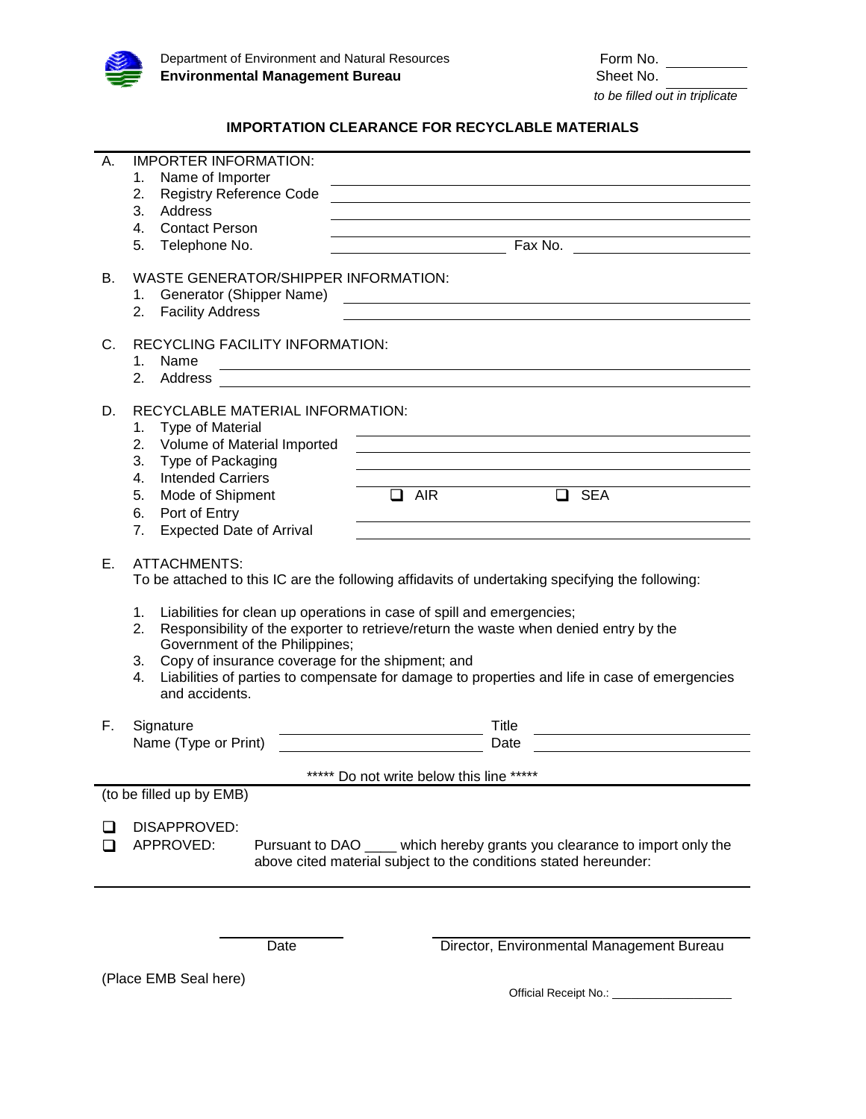

## **IMPORTATION CLEARANCE FOR RECYCLABLE MATERIALS**

| А.                                       | <b>IMPORTER INFORMATION:</b><br>Name of Importer<br>1.<br>2.<br><b>Registry Reference Code</b><br>3.<br>Address<br>4.<br><b>Contact Person</b><br>5.<br>Telephone No.                                                                                                                                                                                                                                                                                                                                                    | <u>and the control of the control of the control of the control of the control of the control of the control of the control of the control of the control of the control of the control of the control of the control of the con</u> |
|------------------------------------------|--------------------------------------------------------------------------------------------------------------------------------------------------------------------------------------------------------------------------------------------------------------------------------------------------------------------------------------------------------------------------------------------------------------------------------------------------------------------------------------------------------------------------|--------------------------------------------------------------------------------------------------------------------------------------------------------------------------------------------------------------------------------------|
| В.                                       | WASTE GENERATOR/SHIPPER INFORMATION:<br>Generator (Shipper Name)<br>1.<br><b>Facility Address</b><br>2.                                                                                                                                                                                                                                                                                                                                                                                                                  |                                                                                                                                                                                                                                      |
| C.                                       | RECYCLING FACILITY INFORMATION:<br>Name<br>1.<br>2.<br>Address                                                                                                                                                                                                                                                                                                                                                                                                                                                           | <u> 1989 - Johann Stoff, deutscher Stoffen und der Stoffen und der Stoffen und der Stoffen und der Stoffen und der</u>                                                                                                               |
| D.                                       | RECYCLABLE MATERIAL INFORMATION:<br><b>Type of Material</b><br>1.<br>Volume of Material Imported<br>2.<br>3.<br>Type of Packaging<br><b>Intended Carriers</b><br>4.<br>Mode of Shipment<br>5.<br>$\Box$<br>6.<br>Port of Entry<br><b>Expected Date of Arrival</b><br>7.                                                                                                                                                                                                                                                  | and the control of the control of the control of the control of the control of the control of the control of the<br>$\Box$<br><b>SEA</b><br>AIR                                                                                      |
| Ε.                                       | <b>ATTACHMENTS:</b><br>To be attached to this IC are the following affidavits of undertaking specifying the following:<br>1.<br>Liabilities for clean up operations in case of spill and emergencies;<br>Responsibility of the exporter to retrieve/return the waste when denied entry by the<br>2.<br>Government of the Philippines;<br>Copy of insurance coverage for the shipment; and<br>3.<br>Liabilities of parties to compensate for damage to properties and life in case of emergencies<br>4.<br>and accidents. |                                                                                                                                                                                                                                      |
| F.                                       | Signature<br>Name (Type or Print)                                                                                                                                                                                                                                                                                                                                                                                                                                                                                        | Title<br>Date                                                                                                                                                                                                                        |
| ***** Do not write below this line ***** |                                                                                                                                                                                                                                                                                                                                                                                                                                                                                                                          |                                                                                                                                                                                                                                      |
| (to be filled up by EMB)                 |                                                                                                                                                                                                                                                                                                                                                                                                                                                                                                                          |                                                                                                                                                                                                                                      |
|                                          | DISAPPROVED:<br>APPROVED:<br>Pursuant to DAO ____ which hereby grants you clearance to import only the<br>above cited material subject to the conditions stated hereunder:                                                                                                                                                                                                                                                                                                                                               |                                                                                                                                                                                                                                      |
|                                          | Date                                                                                                                                                                                                                                                                                                                                                                                                                                                                                                                     | Director, Environmental Management Bureau                                                                                                                                                                                            |

(Place EMB Seal here)

Official Receipt No.: \_\_\_\_\_\_\_\_\_\_\_\_\_\_\_\_\_\_\_